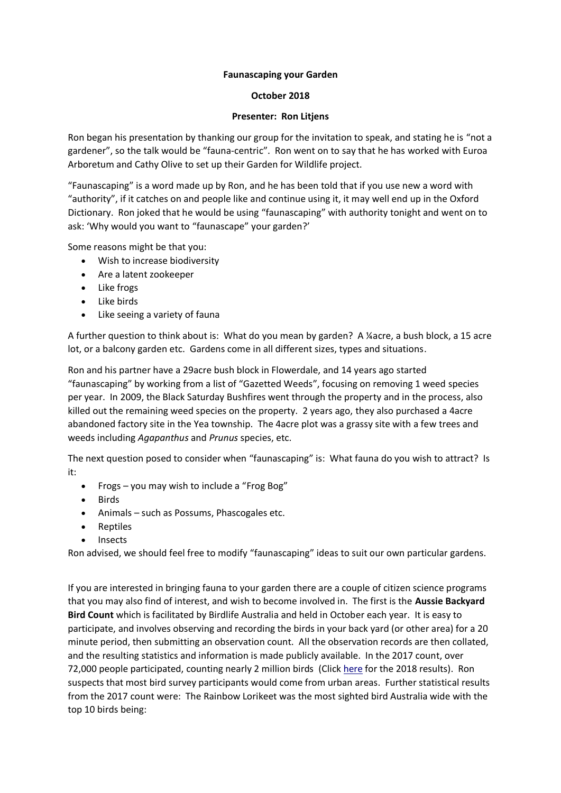## **Faunascaping your Garden**

# **October 2018**

# **Presenter: Ron Litjens**

Ron began his presentation by thanking our group for the invitation to speak, and stating he is "not a gardener", so the talk would be "fauna-centric". Ron went on to say that he has worked with Euroa Arboretum and Cathy Olive to set up their Garden for Wildlife project.

"Faunascaping" is a word made up by Ron, and he has been told that if you use new a word with "authority", if it catches on and people like and continue using it, it may well end up in the Oxford Dictionary. Ron joked that he would be using "faunascaping" with authority tonight and went on to ask: 'Why would you want to "faunascape" your garden?'

Some reasons might be that you:

- Wish to increase biodiversity
- Are a latent zookeeper
- Like frogs
- Like birds
- Like seeing a variety of fauna

A further question to think about is: What do you mean by garden? A ¼acre, a bush block, a 15 acre lot, or a balcony garden etc. Gardens come in all different sizes, types and situations.

Ron and his partner have a 29acre bush block in Flowerdale, and 14 years ago started "faunascaping" by working from a list of "Gazetted Weeds", focusing on removing 1 weed species per year. In 2009, the Black Saturday Bushfires went through the property and in the process, also killed out the remaining weed species on the property. 2 years ago, they also purchased a 4acre abandoned factory site in the Yea township. The 4acre plot was a grassy site with a few trees and weeds including *Agapanthus* and *Prunus* species, etc.

The next question posed to consider when "faunascaping" is: What fauna do you wish to attract? Is it:

- Frogs you may wish to include a "Frog Bog"
- Birds
- Animals such as Possums, Phascogales etc.
- Reptiles
- **Insects**

Ron advised, we should feel free to modify "faunascaping" ideas to suit our own particular gardens.

If you are interested in bringing fauna to your garden there are a couple of citizen science programs that you may also find of interest, and wish to become involved in. The first is the **Aussie Backyard Bird Count** which is facilitated by Birdlife Australia and held in October each year. It is easy to participate, and involves observing and recording the birds in your back yard (or other area) for a 20 minute period, then submitting an observation count. All the observation records are then collated, and the resulting statistics and information is made publicly available. In the 2017 count, over 72,000 people participated, counting nearly 2 million birds (Clic[k here](http://www.birdlife.org.au/images/uploads/ABBC/2018%20ABBC%20Results.pdf) for the 2018 results). Ron suspects that most bird survey participants would come from urban areas. Further statistical results from the 2017 count were: The Rainbow Lorikeet was the most sighted bird Australia wide with the top 10 birds being: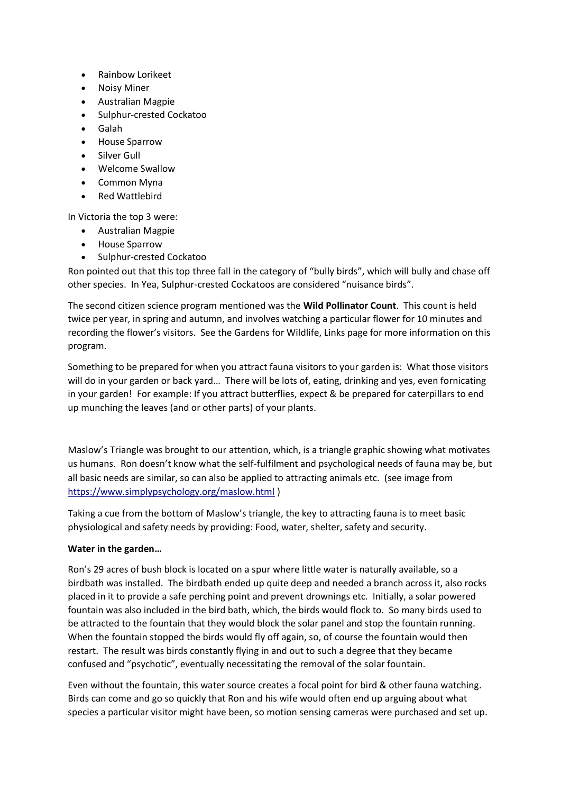- Rainbow Lorikeet
- Noisy Miner
- Australian Magpie
- Sulphur-crested Cockatoo
- Galah
- House Sparrow
- Silver Gull
- Welcome Swallow
- Common Myna
- Red Wattlebird

In Victoria the top 3 were:

- Australian Magpie
- House Sparrow
- Sulphur-crested Cockatoo

Ron pointed out that this top three fall in the category of "bully birds", which will bully and chase off other species. In Yea, Sulphur-crested Cockatoos are considered "nuisance birds".

The second citizen science program mentioned was the **Wild Pollinator Count**. This count is held twice per year, in spring and autumn, and involves watching a particular flower for 10 minutes and recording the flower's visitors. See the Gardens for Wildlife, Links page for more information on this program.

Something to be prepared for when you attract fauna visitors to your garden is: What those visitors will do in your garden or back yard… There will be lots of, eating, drinking and yes, even fornicating in your garden! For example: If you attract butterflies, expect & be prepared for caterpillars to end up munching the leaves (and or other parts) of your plants.

Maslow's Triangle was brought to our attention, which, is a triangle graphic showing what motivates us humans. Ron doesn't know what the self-fulfilment and psychological needs of fauna may be, but all basic needs are similar, so can also be applied to attracting animals etc. (see image from <https://www.simplypsychology.org/maslow.html> )

Taking a cue from the bottom of Maslow's triangle, the key to attracting fauna is to meet basic physiological and safety needs by providing: Food, water, shelter, safety and security.

### **Water in the garden…**

Ron's 29 acres of bush block is located on a spur where little water is naturally available, so a birdbath was installed. The birdbath ended up quite deep and needed a branch across it, also rocks placed in it to provide a safe perching point and prevent drownings etc. Initially, a solar powered fountain was also included in the bird bath, which, the birds would flock to. So many birds used to be attracted to the fountain that they would block the solar panel and stop the fountain running. When the fountain stopped the birds would fly off again, so, of course the fountain would then restart. The result was birds constantly flying in and out to such a degree that they became confused and "psychotic", eventually necessitating the removal of the solar fountain.

Even without the fountain, this water source creates a focal point for bird & other fauna watching. Birds can come and go so quickly that Ron and his wife would often end up arguing about what species a particular visitor might have been, so motion sensing cameras were purchased and set up.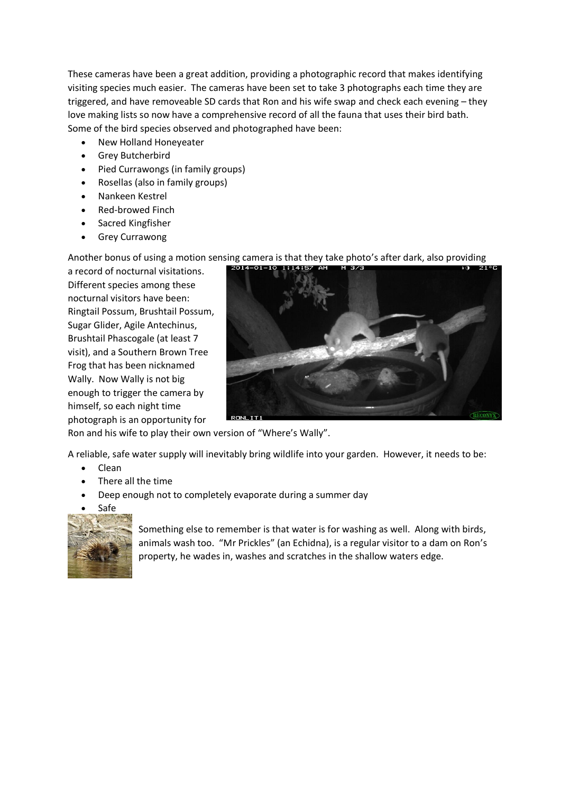These cameras have been a great addition, providing a photographic record that makes identifying visiting species much easier. The cameras have been set to take 3 photographs each time they are triggered, and have removeable SD cards that Ron and his wife swap and check each evening – they love making lists so now have a comprehensive record of all the fauna that uses their bird bath. Some of the bird species observed and photographed have been:

- New Holland Honeyeater
- Grey Butcherbird
- Pied Currawongs (in family groups)
- Rosellas (also in family groups)
- Nankeen Kestrel
- Red-browed Finch
- Sacred Kingfisher
- Grey Currawong

Another bonus of using a motion sensing camera is that they take photo's after dark, also providing

a record of nocturnal visitations. Different species among these nocturnal visitors have been: Ringtail Possum, Brushtail Possum, Sugar Glider, Agile Antechinus, Brushtail Phascogale (at least 7 visit), and a Southern Brown Tree Frog that has been nicknamed Wally. Now Wally is not big enough to trigger the camera by himself, so each night time photograph is an opportunity for



Ron and his wife to play their own version of "Where's Wally".

A reliable, safe water supply will inevitably bring wildlife into your garden. However, it needs to be:

- Clean
- There all the time
- Deep enough not to completely evaporate during a summer day
- Safe



Something else to remember is that water is for washing as well. Along with birds, animals wash too. "Mr Prickles" (an Echidna), is a regular visitor to a dam on Ron's property, he wades in, washes and scratches in the shallow waters edge.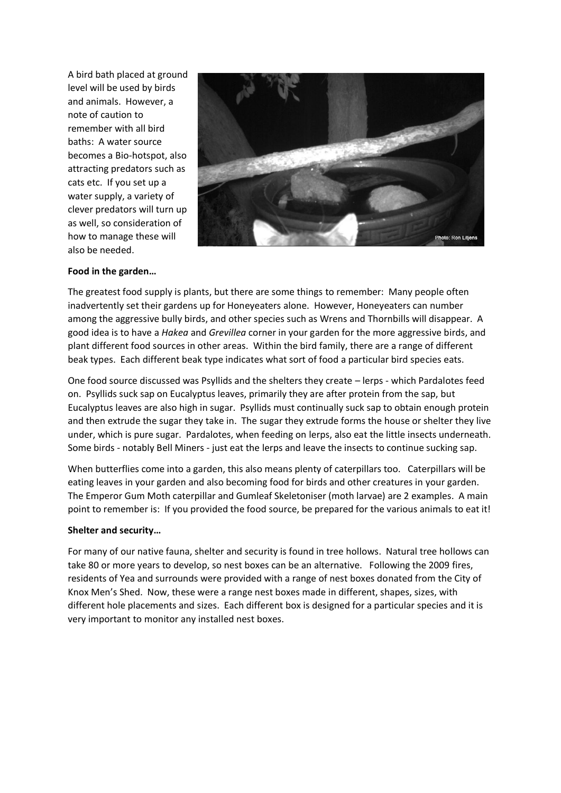A bird bath placed at ground level will be used by birds and animals. However, a note of caution to remember with all bird baths: A water source becomes a Bio-hotspot, also attracting predators such as cats etc. If you set up a water supply, a variety of clever predators will turn up as well, so consideration of how to manage these will also be needed.



### **Food in the garden…**

The greatest food supply is plants, but there are some things to remember: Many people often inadvertently set their gardens up for Honeyeaters alone. However, Honeyeaters can number among the aggressive bully birds, and other species such as Wrens and Thornbills will disappear. A good idea is to have a *Hakea* and *Grevillea* corner in your garden for the more aggressive birds, and plant different food sources in other areas. Within the bird family, there are a range of different beak types. Each different beak type indicates what sort of food a particular bird species eats.

One food source discussed was Psyllids and the shelters they create – lerps - which Pardalotes feed on. Psyllids suck sap on Eucalyptus leaves, primarily they are after protein from the sap, but Eucalyptus leaves are also high in sugar. Psyllids must continually suck sap to obtain enough protein and then extrude the sugar they take in. The sugar they extrude forms the house or shelter they live under, which is pure sugar. Pardalotes, when feeding on lerps, also eat the little insects underneath. Some birds - notably Bell Miners - just eat the lerps and leave the insects to continue sucking sap.

When butterflies come into a garden, this also means plenty of caterpillars too. Caterpillars will be eating leaves in your garden and also becoming food for birds and other creatures in your garden. The Emperor Gum Moth caterpillar and Gumleaf Skeletoniser (moth larvae) are 2 examples. A main point to remember is: If you provided the food source, be prepared for the various animals to eat it!

#### **Shelter and security…**

For many of our native fauna, shelter and security is found in tree hollows. Natural tree hollows can take 80 or more years to develop, so nest boxes can be an alternative. Following the 2009 fires, residents of Yea and surrounds were provided with a range of nest boxes donated from the City of Knox Men's Shed. Now, these were a range nest boxes made in different, shapes, sizes, with different hole placements and sizes. Each different box is designed for a particular species and it is very important to monitor any installed nest boxes.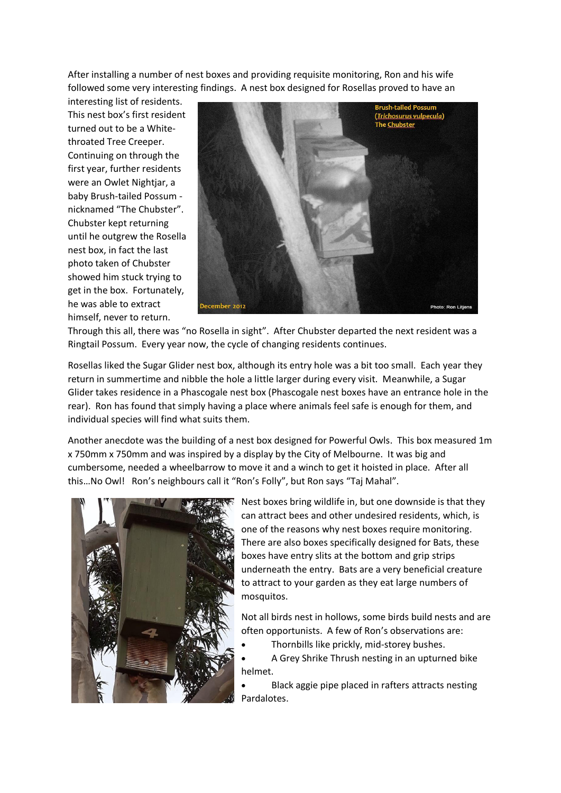After installing a number of nest boxes and providing requisite monitoring, Ron and his wife followed some very interesting findings. A nest box designed for Rosellas proved to have an

interesting list of residents. This nest box's first resident turned out to be a Whitethroated Tree Creeper. Continuing on through the first year, further residents were an Owlet Nightjar, a baby Brush-tailed Possum nicknamed "The Chubster". Chubster kept returning until he outgrew the Rosella nest box, in fact the last photo taken of Chubster showed him stuck trying to get in the box. Fortunately, he was able to extract himself, never to return.



Through this all, there was "no Rosella in sight". After Chubster departed the next resident was a Ringtail Possum. Every year now, the cycle of changing residents continues.

Rosellas liked the Sugar Glider nest box, although its entry hole was a bit too small. Each year they return in summertime and nibble the hole a little larger during every visit. Meanwhile, a Sugar Glider takes residence in a Phascogale nest box (Phascogale nest boxes have an entrance hole in the rear). Ron has found that simply having a place where animals feel safe is enough for them, and individual species will find what suits them.

Another anecdote was the building of a nest box designed for Powerful Owls. This box measured 1m x 750mm x 750mm and was inspired by a display by the City of Melbourne. It was big and cumbersome, needed a wheelbarrow to move it and a winch to get it hoisted in place. After all this…No Owl! Ron's neighbours call it "Ron's Folly", but Ron says "Taj Mahal".



Nest boxes bring wildlife in, but one downside is that they can attract bees and other undesired residents, which, is one of the reasons why nest boxes require monitoring. There are also boxes specifically designed for Bats, these boxes have entry slits at the bottom and grip strips underneath the entry. Bats are a very beneficial creature to attract to your garden as they eat large numbers of mosquitos.

Not all birds nest in hollows, some birds build nests and are often opportunists. A few of Ron's observations are:

- Thornbills like prickly, mid-storey bushes.
- A Grey Shrike Thrush nesting in an upturned bike helmet.

• Black aggie pipe placed in rafters attracts nesting Pardalotes.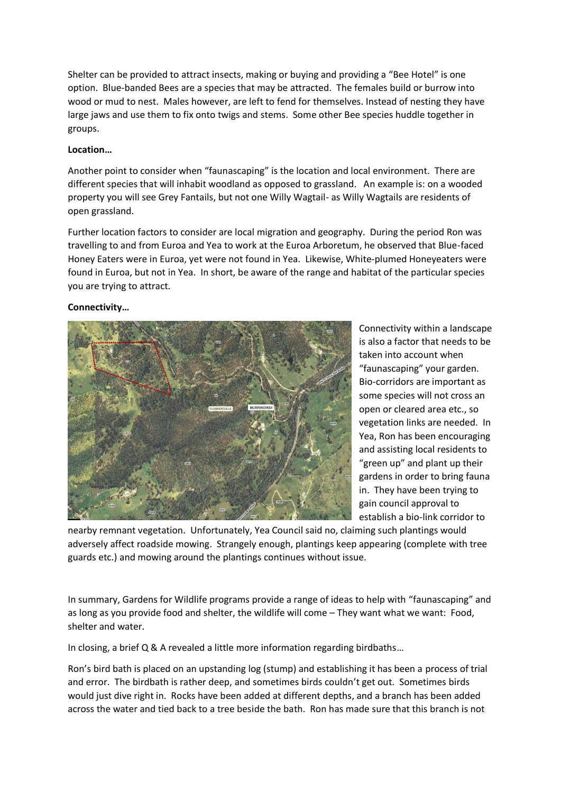Shelter can be provided to attract insects, making or buying and providing a "Bee Hotel" is one option. Blue-banded Bees are a species that may be attracted. The females build or burrow into wood or mud to nest. Males however, are left to fend for themselves. Instead of nesting they have large jaws and use them to fix onto twigs and stems. Some other Bee species huddle together in groups.

# **Location…**

Another point to consider when "faunascaping" is the location and local environment. There are different species that will inhabit woodland as opposed to grassland. An example is: on a wooded property you will see Grey Fantails, but not one Willy Wagtail- as Willy Wagtails are residents of open grassland.

Further location factors to consider are local migration and geography. During the period Ron was travelling to and from Euroa and Yea to work at the Euroa Arboretum, he observed that Blue-faced Honey Eaters were in Euroa, yet were not found in Yea. Likewise, White-plumed Honeyeaters were found in Euroa, but not in Yea. In short, be aware of the range and habitat of the particular species you are trying to attract.

# **Connectivity…**



Connectivity within a landscape is also a factor that needs to be taken into account when "faunascaping" your garden. Bio-corridors are important as some species will not cross an open or cleared area etc., so vegetation links are needed. In Yea, Ron has been encouraging and assisting local residents to "green up" and plant up their gardens in order to bring fauna in. They have been trying to gain council approval to establish a bio-link corridor to

nearby remnant vegetation. Unfortunately, Yea Council said no, claiming such plantings would adversely affect roadside mowing. Strangely enough, plantings keep appearing (complete with tree guards etc.) and mowing around the plantings continues without issue.

In summary, Gardens for Wildlife programs provide a range of ideas to help with "faunascaping" and as long as you provide food and shelter, the wildlife will come – They want what we want: Food, shelter and water.

In closing, a brief Q & A revealed a little more information regarding birdbaths…

Ron's bird bath is placed on an upstanding log (stump) and establishing it has been a process of trial and error. The birdbath is rather deep, and sometimes birds couldn't get out. Sometimes birds would just dive right in. Rocks have been added at different depths, and a branch has been added across the water and tied back to a tree beside the bath. Ron has made sure that this branch is not